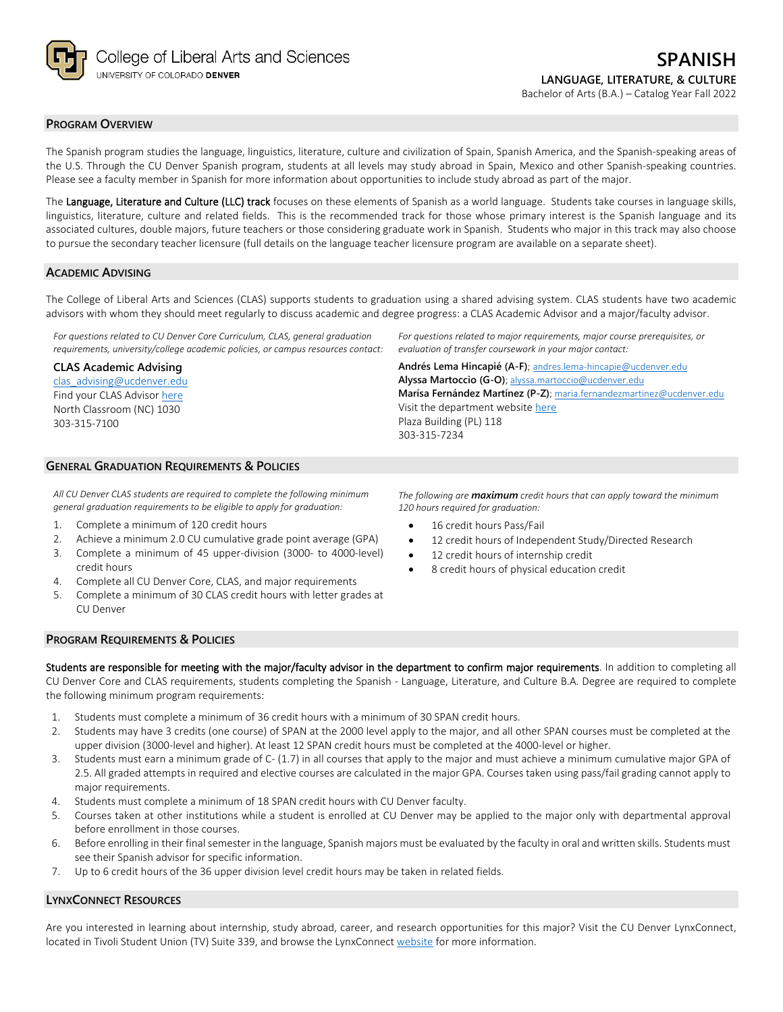

# **PROGRAM OVERVIEW**

The Spanish program studies the language, linguistics, literature, culture and civilization of Spain, Spanish America, and the Spanish-speaking areas of the U.S. Through the CU Denver Spanish program, students at all levels may study abroad in Spain, Mexico and other Spanish-speaking countries. Please see a faculty member in Spanish for more information about opportunities to include study abroad as part of the major.

The Language, Literature and Culture (LLC) track focuses on these elements of Spanish as a world language. Students take courses in language skills, linguistics, literature, culture and related fields. This is the recommended track for those whose primary interest is the Spanish language and its associated cultures, double majors, future teachers or those considering graduate work in Spanish. Students who major in this track may also choose to pursue the secondary teacher licensure (full details on the language teacher licensure program are available on a separate sheet).

### **ACADEMIC ADVISING**

The College of Liberal Arts and Sciences (CLAS) supports students to graduation using a shared advising system. CLAS students have two academic advisors with whom they should meet regularly to discuss academic and degree progress: a CLAS Academic Advisor and a major/faculty advisor.

*For questions related to CU Denver Core Curriculum, CLAS, general graduation requirements, university/college academic policies, or campus resources contact:*

### **CLAS Academic Advising**

[clas\\_advising@ucdenver.edu](mailto:clas_advising@ucdenver.edu) Find your CLAS Adviso[r here](https://clas.ucdenver.edu/advising/) North Classroom (NC) 1030 303-315-7100

*For questions related to major requirements, major course prerequisites, or evaluation of transfer coursework in your major contact:*

**Andrés Lema Hincapié (A-F)**; [andres.lema-hincapie@ucdenver.edu](mailto:andres.lema-hincapie@ucdenver.edu) **Alyssa Martoccio (G-O)**[; alyssa.martoccio@ucdenver.edu](mailto:alyssa.martoccio@ucdenver.edu) **Marísa Fernández Martínez (P-Z)**; [maria.fernandezmartinez@ucdenver.edu](mailto:maria.fernandezmartinez@ucdenver.edu) Visit the department websit[e here](https://clas.ucdenver.edu/modLang/) Plaza Building (PL) 118 303-315-7234

# **GENERAL GRADUATION REQUIREMENTS & POLICIES**

*All CU Denver CLAS students are required to complete the following minimum general graduation requirements to be eligible to apply for graduation:*

- 1. Complete a minimum of 120 credit hours
- 2. Achieve a minimum 2.0 CU cumulative grade point average (GPA)
- 3. Complete a minimum of 45 upper-division (3000- to 4000-level) credit hours
- 4. Complete all CU Denver Core, CLAS, and major requirements
- 5. Complete a minimum of 30 CLAS credit hours with letter grades at CU Denver

*The following are maximum credit hours that can apply toward the minimum 120 hours required for graduation:*

- 16 credit hours Pass/Fail
- 12 credit hours of Independent Study/Directed Research
- 12 credit hours of internship credit
- 8 credit hours of physical education credit

### **PROGRAM REQUIREMENTS & POLICIES**

Students are responsible for meeting with the major/faculty advisor in the department to confirm major requirements. In addition to completing all CU Denver Core and CLAS requirements, students completing the Spanish - Language, Literature, and Culture B.A. Degree are required to complete the following minimum program requirements:

- 1. Students must complete a minimum of 36 credit hours with a minimum of 30 SPAN credit hours.
- 2. Students may have 3 credits (one course) of SPAN at the 2000 level apply to the major, and all other SPAN courses must be completed at the upper division (3000-level and higher). At least 12 SPAN credit hours must be completed at the 4000-level or higher.
- 3. Students must earn a minimum grade of C- (1.7) in all courses that apply to the major and must achieve a minimum cumulative major GPA of 2.5. All graded attempts in required and elective courses are calculated in the major GPA. Courses taken using pass/fail grading cannot apply to major requirements.
- 4. Students must complete a minimum of 18 SPAN credit hours with CU Denver faculty.
- 5. Courses taken at other institutions while a student is enrolled at CU Denver may be applied to the major only with departmental approval before enrollment in those courses.
- 6. Before enrolling in their final semester in the language, Spanish majors must be evaluated by the faculty in oral and written skills. Students must see their Spanish advisor for specific information.
- 7. Up to 6 credit hours of the 36 upper division level credit hours may be taken in related fields.

# **LYNXCONNECT RESOURCES**

Are you interested in learning about internship, study abroad, career, and research opportunities for this major? Visit the CU Denver LynxConnect, located in Tivoli Student Union (TV) Suite 339, and browse the LynxConnec[t website](http://www.ucdenver.edu/lynxconnect/Pages/default.aspx) for more information.